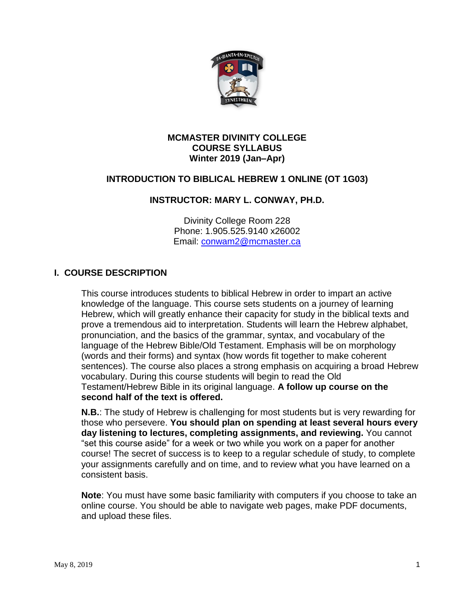

#### **MCMASTER DIVINITY COLLEGE COURSE SYLLABUS Winter 2019 (Jan–Apr)**

## **INTRODUCTION TO BIBLICAL HEBREW 1 ONLINE (OT 1G03)**

## **INSTRUCTOR: MARY L. CONWAY, PH.D.**

Divinity College Room 228 Phone: 1.905.525.9140 x26002 Email: [conwam2@mcmaster.ca](mailto:conwam2@mcmaster.ca)

## **I. COURSE DESCRIPTION**

This course introduces students to biblical Hebrew in order to impart an active knowledge of the language. This course sets students on a journey of learning Hebrew, which will greatly enhance their capacity for study in the biblical texts and prove a tremendous aid to interpretation. Students will learn the Hebrew alphabet, pronunciation, and the basics of the grammar, syntax, and vocabulary of the language of the Hebrew Bible/Old Testament. Emphasis will be on morphology (words and their forms) and syntax (how words fit together to make coherent sentences). The course also places a strong emphasis on acquiring a broad Hebrew vocabulary. During this course students will begin to read the Old Testament/Hebrew Bible in its original language. **A follow up course on the second half of the text is offered.**

**N.B.**: The study of Hebrew is challenging for most students but is very rewarding for those who persevere. **You should plan on spending at least several hours every day listening to lectures, completing assignments, and reviewing.** You cannot "set this course aside" for a week or two while you work on a paper for another course! The secret of success is to keep to a regular schedule of study, to complete your assignments carefully and on time, and to review what you have learned on a consistent basis.

**Note**: You must have some basic familiarity with computers if you choose to take an online course. You should be able to navigate web pages, make PDF documents, and upload these files.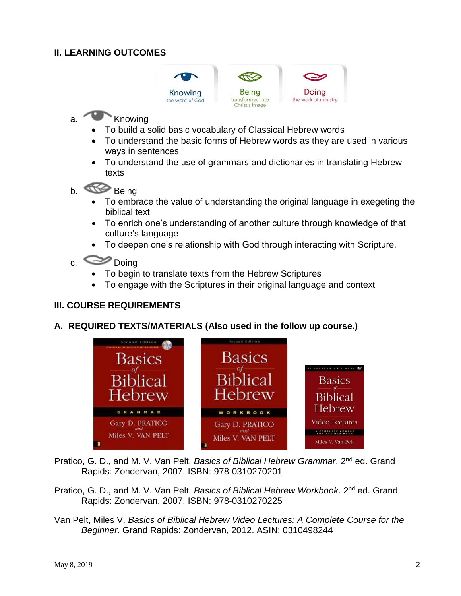## **II. LEARNING OUTCOMES**



# a. Knowing

- To build a solid basic vocabulary of Classical Hebrew words
- To understand the basic forms of Hebrew words as they are used in various ways in sentences
- To understand the use of grammars and dictionaries in translating Hebrew texts
- b. Being
	- To embrace the value of understanding the original language in exegeting the biblical text
	- To enrich one's understanding of another culture through knowledge of that culture's language
	- To deepen one's relationship with God through interacting with Scripture.

# c. Doing

- To begin to translate texts from the Hebrew Scriptures
- To engage with the Scriptures in their original language and context

## **III. COURSE REQUIREMENTS**

#### **A. REQUIRED TEXTS/MATERIALS (Also used in the follow up course.)**



Pratico, G. D., and M. V. Van Pelt. *Basics of Biblical Hebrew Grammar*. 2nd ed. Grand Rapids: Zondervan, 2007. ISBN: 978-0310270201

- Pratico, G. D., and M. V. Van Pelt. *Basics of Biblical Hebrew Workbook*. 2nd ed. Grand Rapids: Zondervan, 2007. ISBN: 978-0310270225
- Van Pelt, Miles V. *Basics of Biblical Hebrew Video Lectures: A Complete Course for the Beginner*. Grand Rapids: Zondervan, 2012. ASIN: 0310498244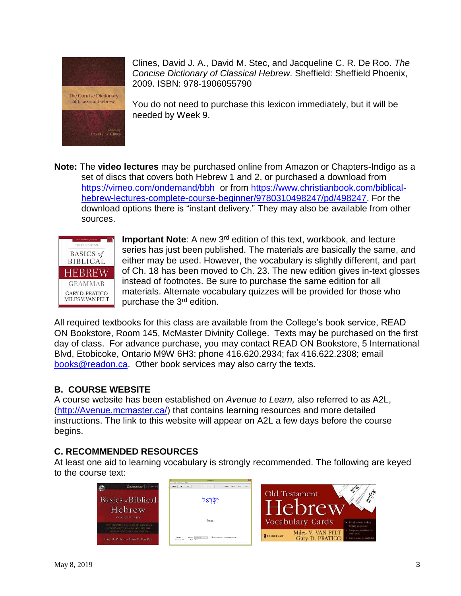

Edified by<br>Myrd J. A. Clines

Clines, David J. A., David M. Stec, and Jacqueline C. R. De Roo. *The Concise Dictionary of Classical Hebrew*. Sheffield: Sheffield Phoenix, 2009. ISBN: 978-1906055790

You do not need to purchase this lexicon immediately, but it will be needed by Week 9.

**Note:** The **video lectures** may be purchased online from Amazon or Chapters-Indigo as a set of discs that covers both Hebrew 1 and 2, or purchased a download from <https://vimeo.com/ondemand/bbh> or from [https://www.christianbook.com/biblical](https://www.christianbook.com/biblical-hebrew-lectures-complete-course-beginner/9780310498247/pd/498247)[hebrew-lectures-complete-course-beginner/9780310498247/pd/498247.](https://www.christianbook.com/biblical-hebrew-lectures-complete-course-beginner/9780310498247/pd/498247) For the download options there is "instant delivery." They may also be available from other sources.



Important Note: A new 3<sup>rd</sup> edition of this text, workbook, and lecture series has just been published. The materials are basically the same, and either may be used. However, the vocabulary is slightly different, and part of Ch. 18 has been moved to Ch. 23. The new edition gives in-text glosses instead of footnotes. Be sure to purchase the same edition for all materials. Alternate vocabulary quizzes will be provided for those who purchase the 3<sup>rd</sup> edition.

All required textbooks for this class are available from the College's book service, READ ON Bookstore, Room 145, McMaster Divinity College. Texts may be purchased on the first day of class. For advance purchase, you may contact READ ON Bookstore, 5 International Blvd, Etobicoke, Ontario M9W 6H3: phone 416.620.2934; fax 416.622.2308; email [books@readon.ca.](mailto:books@readon.ca) Other book services may also carry the texts.

## **B. COURSE WEBSITE**

A course website has been established on *Avenue to Learn,* also referred to as A2L, [\(http://Avenue.mcmaster.ca/\)](http://avenue.mcmaster.ca/) that contains learning resources and more detailed instructions. The link to this website will appear on A2L a few days before the course begins.

## **C. RECOMMENDED RESOURCES**

At least one aid to learning vocabulary is strongly recommended. The following are keyed to the course text:

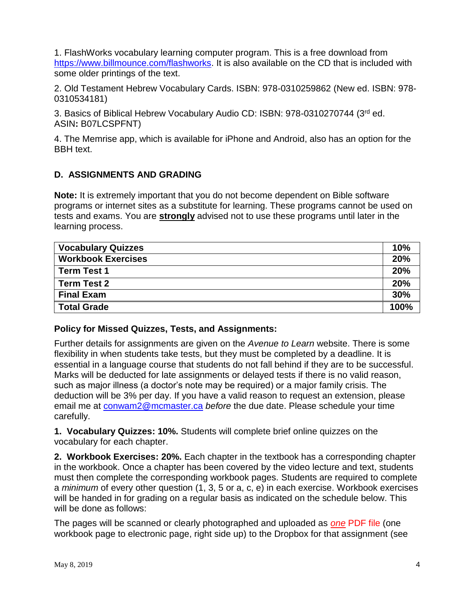1. FlashWorks vocabulary learning computer program. This is a free download from [https://www.billmounce.com/flashworks.](https://www.billmounce.com/flashworks) It is also available on the CD that is included with some older printings of the text.

2. Old Testament Hebrew Vocabulary Cards. ISBN: 978-0310259862 (New ed. ISBN: 978- 0310534181)

3. Basics of Biblical Hebrew Vocabulary Audio CD: ISBN: 978-0310270744 (3rd ed. ASIN**:** B07LCSPFNT)

4. The Memrise app, which is available for iPhone and Android, also has an option for the BBH text.

## **D. ASSIGNMENTS AND GRADING**

**Note:** It is extremely important that you do not become dependent on Bible software programs or internet sites as a substitute for learning. These programs cannot be used on tests and exams. You are **strongly** advised not to use these programs until later in the learning process.

| <b>Vocabulary Quizzes</b> | 10%  |
|---------------------------|------|
| <b>Workbook Exercises</b> | 20%  |
| <b>Term Test 1</b>        | 20%  |
| Term Test 2               | 20%  |
| <b>Final Exam</b>         | 30%  |
| <b>Total Grade</b>        | 100% |

#### **Policy for Missed Quizzes, Tests, and Assignments:**

Further details for assignments are given on the *Avenue to Learn* website. There is some flexibility in when students take tests, but they must be completed by a deadline. It is essential in a language course that students do not fall behind if they are to be successful. Marks will be deducted for late assignments or delayed tests if there is no valid reason, such as major illness (a doctor's note may be required) or a major family crisis. The deduction will be 3% per day. If you have a valid reason to request an extension, please email me at [conwam2@mcmaster.ca](mailto:conwam2@mcmaster.ca) *before* the due date. Please schedule your time carefully.

**1. Vocabulary Quizzes: 10%.** Students will complete brief online quizzes on the vocabulary for each chapter.

**2. Workbook Exercises: 20%.** Each chapter in the textbook has a corresponding chapter in the workbook. Once a chapter has been covered by the video lecture and text, students must then complete the corresponding workbook pages. Students are required to complete a *minimum* of every other question (1, 3, 5 or a, c, e) in each exercise. Workbook exercises will be handed in for grading on a regular basis as indicated on the schedule below. This will be done as follows:

The pages will be scanned or clearly photographed and uploaded as *one* PDF file (one workbook page to electronic page, right side up) to the Dropbox for that assignment (see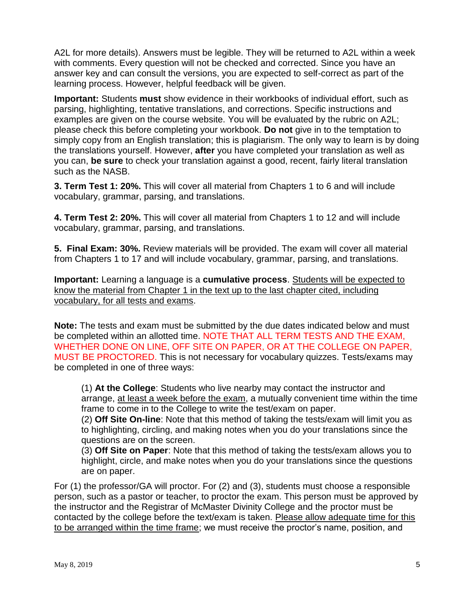A2L for more details). Answers must be legible. They will be returned to A2L within a week with comments. Every question will not be checked and corrected. Since you have an answer key and can consult the versions, you are expected to self-correct as part of the learning process. However, helpful feedback will be given.

**Important:** Students **must** show evidence in their workbooks of individual effort, such as parsing, highlighting, tentative translations, and corrections. Specific instructions and examples are given on the course website. You will be evaluated by the rubric on A2L; please check this before completing your workbook. **Do not** give in to the temptation to simply copy from an English translation; this is plagiarism. The only way to learn is by doing the translations yourself. However, **after** you have completed your translation as well as you can, **be sure** to check your translation against a good, recent, fairly literal translation such as the NASB.

**3. Term Test 1: 20%.** This will cover all material from Chapters 1 to 6 and will include vocabulary, grammar, parsing, and translations.

**4. Term Test 2: 20%.** This will cover all material from Chapters 1 to 12 and will include vocabulary, grammar, parsing, and translations.

**5. Final Exam: 30%.** Review materials will be provided. The exam will cover all material from Chapters 1 to 17 and will include vocabulary, grammar, parsing, and translations.

**Important:** Learning a language is a **cumulative process**. Students will be expected to know the material from Chapter 1 in the text up to the last chapter cited, including vocabulary, for all tests and exams.

**Note:** The tests and exam must be submitted by the due dates indicated below and must be completed within an allotted time. NOTE THAT ALL TERM TESTS AND THE EXAM, WHETHER DONE ON LINE, OFF SITE ON PAPER, OR AT THE COLLEGE ON PAPER, MUST BE PROCTORED. This is not necessary for vocabulary quizzes. Tests/exams may be completed in one of three ways:

(1) **At the College**: Students who live nearby may contact the instructor and arrange, at least a week before the exam, a mutually convenient time within the time frame to come in to the College to write the test/exam on paper.

(2) **Off Site On-line**: Note that this method of taking the tests/exam will limit you as to highlighting, circling, and making notes when you do your translations since the questions are on the screen.

(3) **Off Site on Paper**: Note that this method of taking the tests/exam allows you to highlight, circle, and make notes when you do your translations since the questions are on paper.

For (1) the professor/GA will proctor. For (2) and (3), students must choose a responsible person, such as a pastor or teacher, to proctor the exam. This person must be approved by the instructor and the Registrar of McMaster Divinity College and the proctor must be contacted by the college before the text/exam is taken. Please allow adequate time for this to be arranged within the time frame; we must receive the proctor's name, position, and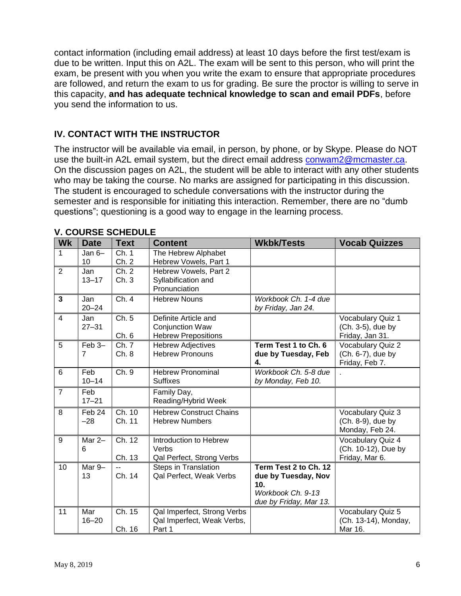contact information (including email address) at least 10 days before the first test/exam is due to be written. Input this on A2L. The exam will be sent to this person, who will print the exam, be present with you when you write the exam to ensure that appropriate procedures are followed, and return the exam to us for grading. Be sure the proctor is willing to serve in this capacity, **and has adequate technical knowledge to scan and email PDFs**, before you send the information to us.

## **IV. CONTACT WITH THE INSTRUCTOR**

The instructor will be available via email, in person, by phone, or by Skype. Please do NOT use the built-in A2L email system, but the direct email address [conwam2@mcmaster.ca.](mailto:conwam2@mcmaster.ca) On the discussion pages on A2L, the student will be able to interact with any other students who may be taking the course. No marks are assigned for participating in this discussion. The student is encouraged to schedule conversations with the instructor during the semester and is responsible for initiating this interaction. Remember, there are no "dumb questions"; questioning is a good way to engage in the learning process.

| <b>Wk</b>      | <b>Date</b>      | <b>Text</b>      | <b>Content</b>                                                        | <b>Wkbk/Tests</b>                                                                                              | <b>Vocab Quizzes</b>                                       |
|----------------|------------------|------------------|-----------------------------------------------------------------------|----------------------------------------------------------------------------------------------------------------|------------------------------------------------------------|
| 1              | Jan $6-$<br>10   | Ch. 1<br>Ch. 2   | The Hebrew Alphabet<br>Hebrew Vowels, Part 1                          |                                                                                                                |                                                            |
| $\overline{2}$ | Jan<br>$13 - 17$ | Ch. 2<br>Ch.3    | Hebrew Vowels, Part 2<br>Syllabification and<br>Pronunciation         |                                                                                                                |                                                            |
| 3              | Jan<br>$20 - 24$ | Ch. 4            | <b>Hebrew Nouns</b>                                                   | Workbook Ch. 1-4 due<br>by Friday, Jan 24.                                                                     |                                                            |
| $\overline{4}$ | Jan<br>$27 - 31$ | Ch. 5<br>Ch. 6   | Definite Article and<br>Conjunction Waw<br><b>Hebrew Prepositions</b> |                                                                                                                | Vocabulary Quiz 1<br>(Ch. 3-5), due by<br>Friday, Jan 31.  |
| 5              | Feb 3-<br>7      | Ch. 7<br>Ch. 8   | <b>Hebrew Adjectives</b><br><b>Hebrew Pronouns</b>                    | Term Test 1 to Ch. 6<br>due by Tuesday, Feb<br>4.                                                              | Vocabulary Quiz 2<br>(Ch. 6-7), due by<br>Friday, Feb 7.   |
| 6              | Feb<br>$10 - 14$ | Ch. 9            | <b>Hebrew Pronominal</b><br><b>Suffixes</b>                           | Workbook Ch. 5-8 due<br>by Monday, Feb 10.                                                                     |                                                            |
| $\overline{7}$ | Feb<br>$17 - 21$ |                  | Family Day,<br>Reading/Hybrid Week                                    |                                                                                                                |                                                            |
| 8              | Feb 24<br>$-28$  | Ch. 10<br>Ch. 11 | <b>Hebrew Construct Chains</b><br><b>Hebrew Numbers</b>               |                                                                                                                | Vocabulary Quiz 3<br>(Ch. 8-9), due by<br>Monday, Feb 24.  |
| 9              | Mar 2-<br>6      | Ch. 12<br>Ch. 13 | Introduction to Hebrew<br>Verbs<br>Qal Perfect, Strong Verbs          |                                                                                                                | Vocabulary Quiz 4<br>(Ch. 10-12), Due by<br>Friday, Mar 6. |
| 10             | Mar 9-<br>13     | Ch. 14           | Steps in Translation<br>Qal Perfect, Weak Verbs                       | Term Test 2 to Ch. 12<br>due by Tuesday, Nov<br>10 <sub>1</sub><br>Workbook Ch. 9-13<br>due by Friday, Mar 13. |                                                            |
| 11             | Mar<br>$16 - 20$ | Ch. 15<br>Ch. 16 | Qal Imperfect, Strong Verbs<br>Qal Imperfect, Weak Verbs,<br>Part 1   |                                                                                                                | Vocabulary Quiz 5<br>(Ch. 13-14), Monday,<br>Mar 16.       |

#### **V. COURSE SCHEDULE**